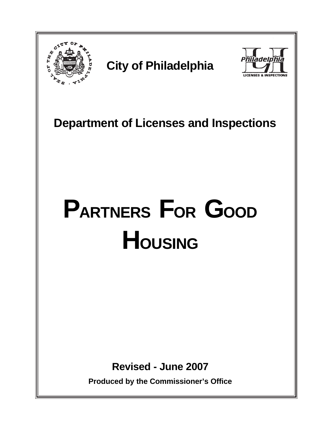

# **City of Philadelphia**



 **Department of Licenses and Inspections**

# **PARTNERS FOR GOOD HOUSING**

**Revised - June 2007**

**Produced by the Commissioner's Office**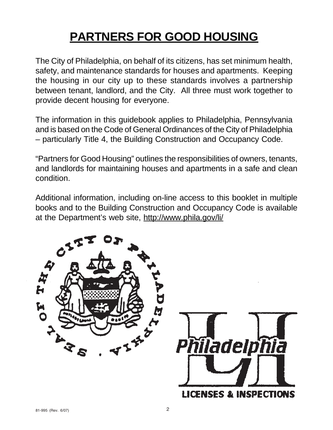# **PARTNERS FOR GOOD HOUSING**

The City of Philadelphia, on behalf of its citizens, has set minimum health, safety, and maintenance standards for houses and apartments. Keeping the housing in our city up to these standards involves a partnership between tenant, landlord, and the City. All three must work together to provide decent housing for everyone.

The information in this guidebook applies to Philadelphia, Pennsylvania and is based on the Code of General Ordinances of the City of Philadelphia – particularly Title 4, the Building Construction and Occupancy Code.

"Partners for Good Housing" outlines the responsibilities of owners, tenants, and landlords for maintaining houses and apartments in a safe and clean condition.

Additional information, including on-line access to this booklet in multiple books and to the Building Construction and Occupancy Code is available at the Department's web site, http://www.phila.gov/li/

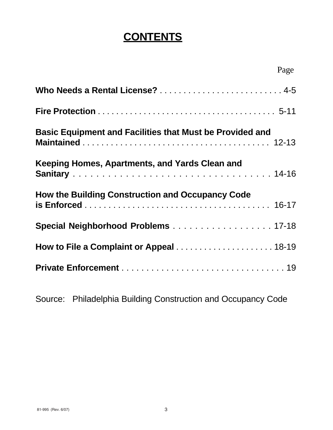### **CONTENTS**

|                                                                 | Page |
|-----------------------------------------------------------------|------|
|                                                                 |      |
|                                                                 |      |
| <b>Basic Equipment and Facilities that Must be Provided and</b> |      |
| Keeping Homes, Apartments, and Yards Clean and                  |      |
| <b>How the Building Construction and Occupancy Code</b>         |      |
| Special Neighborhood Problems 17-18                             |      |
|                                                                 |      |
|                                                                 |      |

Source: Philadelphia Building Construction and Occupancy Code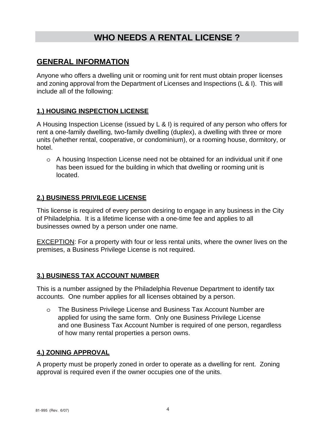### **WHO NEEDS A RENTAL LICENSE ?**

#### **GENERAL INFORMATION**

Anyone who offers a dwelling unit or rooming unit for rent must obtain proper licenses and zoning approval from the Department of Licenses and Inspections (L & I). This will include all of the following:

#### **1.) HOUSING INSPECTION LICENSE**

A Housing Inspection License (issued by L & I) is required of any person who offers for rent a one-family dwelling, two-family dwelling (duplex), a dwelling with three or more units (whether rental, cooperative, or condominium), or a rooming house, dormitory, or hotel.

o A housing Inspection License need not be obtained for an individual unit if one has been issued for the building in which that dwelling or rooming unit is located.

#### **2.) BUSINESS PRIVILEGE LICENSE**

This license is required of every person desiring to engage in any business in the City of Philadelphia. It is a lifetime license with a one-time fee and applies to all businesses owned by a person under one name.

**EXCEPTION:** For a property with four or less rental units, where the owner lives on the premises, a Business Privilege License is not required.

#### **3.) BUSINESS TAX ACCOUNT NUMBER**

This is a number assigned by the Philadelphia Revenue Department to identify tax accounts. One number applies for all licenses obtained by a person.

o The Business Privilege License and Business Tax Account Number are applied for using the same form. Only one Business Privilege License and one Business Tax Account Number is required of one person, regardless of how many rental properties a person owns.

#### **4.) ZONING APPROVAL**

A property must be properly zoned in order to operate as a dwelling for rent. Zoning approval is required even if the owner occupies one of the units.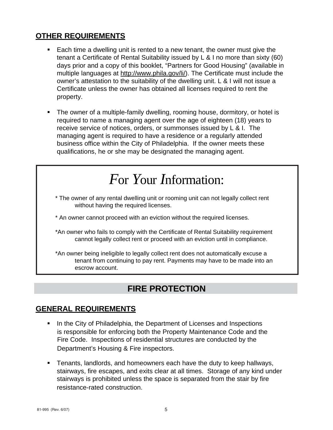#### **OTHER REQUIREMENTS**

- Each time a dwelling unit is rented to a new tenant, the owner must give the tenant a Certificate of Rental Suitability issued by L & I no more than sixty (60) days prior and a copy of this booklet, "Partners for Good Housing" (available in multiple languages at http://www.phila.gov/li/). The Certificate must include the owner's attestation to the suitability of the dwelling unit. L & I will not issue a Certificate unless the owner has obtained all licenses required to rent the property.
- The owner of a multiple-family dwelling, rooming house, dormitory, or hotel is required to name a managing agent over the age of eighteen (18) years to receive service of notices, orders, or summonses issued by L & I. The managing agent is required to have a residence or a regularly attended business office within the City of Philadelphia. If the owner meets these qualifications, he or she may be designated the managing agent.

# *F*or *Y*our *I*nformation:

- \* The owner of any rental dwelling unit or rooming unit can not legally collect rent without having the required licenses.
- \* An owner cannot proceed with an eviction without the required licenses.
- \*An owner who fails to comply with the Certificate of Rental Suitability requirement cannot legally collect rent or proceed with an eviction until in compliance.

\*An owner being ineligible to legally collect rent does not automatically excuse a tenant from continuing to pay rent. Payments may have to be made into an escrow account.

### **FIRE PROTECTION**

#### **GENERAL REQUIREMENTS**

- In the City of Philadelphia, the Department of Licenses and Inspections is responsible for enforcing both the Property Maintenance Code and the Fire Code. Inspections of residential structures are conducted by the Department's Housing & Fire inspectors.
- Tenants, landlords, and homeowners each have the duty to keep hallways, stairways, fire escapes, and exits clear at all times. Storage of any kind under stairways is prohibited unless the space is separated from the stair by fire resistance-rated construction.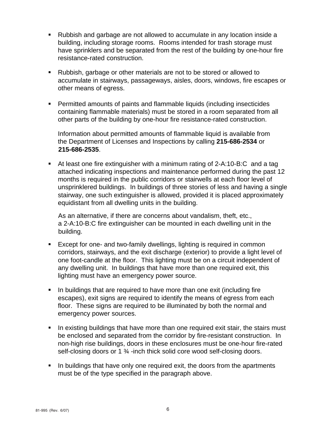- Rubbish and garbage are not allowed to accumulate in any location inside a building, including storage rooms. Rooms intended for trash storage must have sprinklers and be separated from the rest of the building by one-hour fire resistance-rated construction.
- Rubbish, garbage or other materials are not to be stored or allowed to accumulate in stairways, passageways, aisles, doors, windows, fire escapes or other means of egress.
- Permitted amounts of paints and flammable liquids (including insecticides containing flammable materials) must be stored in a room separated from all other parts of the building by one-hour fire resistance-rated construction.

Information about permitted amounts of flammable liquid is available from the Department of Licenses and Inspections by calling **215-686-2534** or **215-686-2535**.

 At least one fire extinguisher with a minimum rating of 2-A:10-B:C and a tag attached indicating inspections and maintenance performed during the past 12 months is required in the public corridors or stairwells at each floor level of unsprinklered buildings. In buildings of three stories of less and having a single stairway, one such extinguisher is allowed, provided it is placed approximately equidistant from all dwelling units in the building.

 As an alternative, if there are concerns about vandalism, theft, etc., a 2-A:10-B:C fire extinguisher can be mounted in each dwelling unit in the building.

- **Except for one- and two-family dwellings, lighting is required in common** corridors, stairways, and the exit discharge (exterior) to provide a light level of one foot-candle at the floor. This lighting must be on a circuit independent of any dwelling unit. In buildings that have more than one required exit, this lighting must have an emergency power source.
- In buildings that are required to have more than one exit (including fire escapes), exit signs are required to identify the means of egress from each floor. These signs are required to be illuminated by both the normal and emergency power sources.
- In existing buildings that have more than one required exit stair, the stairs must be enclosed and separated from the corridor by fire-resistant construction. In non-high rise buildings, doors in these enclosures must be one-hour fire-rated self-closing doors or 1 <sup>3</sup>/<sub>4</sub> -inch thick solid core wood self-closing doors.
- In buildings that have only one required exit, the doors from the apartments must be of the type specified in the paragraph above.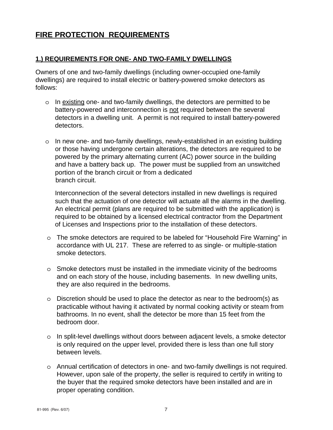#### **FIRE PROTECTION REQUIREMENTS**

#### **1.) REQUIREMENTS FOR ONE- AND TWO-FAMILY DWELLINGS**

Owners of one and two-family dwellings (including owner-occupied one-family dwellings) are required to install electric or battery-powered smoke detectors as follows:

- o In existing one- and two-family dwellings, the detectors are permitted to be battery-powered and interconnection is not required between the several detectors in a dwelling unit. A permit is not required to install battery-powered detectors.
- o In new one- and two-family dwellings, newly-established in an existing building or those having undergone certain alterations, the detectors are required to be powered by the primary alternating current (AC) power source in the building and have a battery back up. The power must be supplied from an unswitched portion of the branch circuit or from a dedicated branch circuit.

Interconnection of the several detectors installed in new dwellings is required such that the actuation of one detector will actuate all the alarms in the dwelling. An electrical permit (plans are required to be submitted with the application) is required to be obtained by a licensed electrical contractor from the Department of Licenses and Inspections prior to the installation of these detectors.

- o The smoke detectors are required to be labeled for "Household Fire Warning" in accordance with UL 217. These are referred to as single- or multiple-station smoke detectors.
- o Smoke detectors must be installed in the immediate vicinity of the bedrooms and on each story of the house, including basements. In new dwelling units, they are also required in the bedrooms.
- o Discretion should be used to place the detector as near to the bedroom(s) as practicable without having it activated by normal cooking activity or steam from bathrooms. In no event, shall the detector be more than 15 feet from the bedroom door.
- o In split-level dwellings without doors between adjacent levels, a smoke detector is only required on the upper level, provided there is less than one full story between levels.
- o Annual certification of detectors in one- and two-family dwellings is not required. However, upon sale of the property, the seller is required to certify in writing to the buyer that the required smoke detectors have been installed and are in proper operating condition.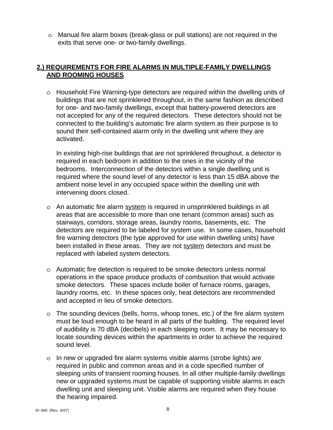o Manual fire alarm boxes (break-glass or pull stations) are not required in the exits that serve one- or two-family dwellings.

#### **2.) REQUIREMENTS FOR FIRE ALARMS IN MULTIPLE-FAMILY DWELLINGS AND ROOMING HOUSES**

o Household Fire Warning-type detectors are required within the dwelling units of buildings that are not sprinklered throughout, in the same fashion as described for one- and two-family dwellings, except that battery-powered detectors are not accepted for any of the required detectors. These detectors should not be connected to the building's automatic fire alarm system as their purpose is to sound their self-contained alarm only in the dwelling unit where they are activated.

In existing high-rise buildings that are not sprinklered throughout, a detector is required in each bedroom in addition to the ones in the vicinity of the bedrooms. Interconnection of the detectors within a single dwelling unit is required where the sound level of any detector is less than 15 dBA above the ambient noise level in any occupied space within the dwelling unit with intervening doors closed.

- o An automatic fire alarm system is required in unsprinklered buildings in all areas that are accessible to more than one tenant (common areas) such as stairways, corridors, storage areas, laundry rooms, basements, etc. The detectors are required to be labeled for system use. In some cases, household fire warning detectors (the type approved for use within dwelling units) have been installed in these areas. They are not system detectors and must be replaced with labeled system detectors.
- o Automatic fire detection is required to be smoke detectors unless normal operations in the space produce products of combustion that would activate smoke detectors. These spaces include boiler of furnace rooms, garages, laundry rooms, etc. In these spaces only, heat detectors are recommended and accepted in lieu of smoke detectors.
- o The sounding devices (bells, horns, whoop tones, etc.) of the fire alarm system must be loud enough to be heard in all parts of the building. The required level of audibility is 70 dBA (decibels) in each sleeping room. It may be necessary to locate sounding devices within the apartments in order to achieve the required sound level.
- o In new or upgraded fire alarm systems visible alarms (strobe lights) are required in public and common areas and in a code specified number of sleeping units of transient rooming houses. In all other multiple-family dwellings new or upgraded systems must be capable of supporting visible alarms in each dwelling unit and sleeping unit. Visible alarms are required when they house the hearing impaired.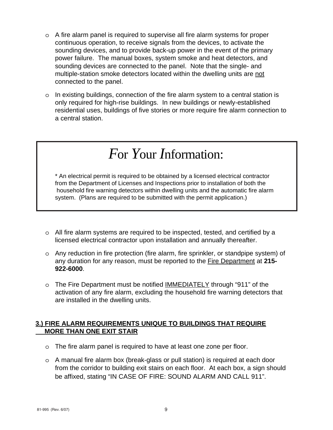- o A fire alarm panel is required to supervise all fire alarm systems for proper continuous operation, to receive signals from the devices, to activate the sounding devices, and to provide back-up power in the event of the primary power failure. The manual boxes, system smoke and heat detectors, and sounding devices are connected to the panel. Note that the single- and multiple-station smoke detectors located within the dwelling units are not connected to the panel.
- o In existing buildings, connection of the fire alarm system to a central station is only required for high-rise buildings. In new buildings or newly-established residential uses, buildings of five stories or more require fire alarm connection to a central station.

# *F*or *Y*our *I*nformation:

\* An electrical permit is required to be obtained by a licensed electrical contractor from the Department of Licenses and Inspections prior to installation of both the household fire warning detectors within dwelling units and the automatic fire alarm system. (Plans are required to be submitted with the permit application.)

- o All fire alarm systems are required to be inspected, tested, and certified by a licensed electrical contractor upon installation and annually thereafter.
- o Any reduction in fire protection (fire alarm, fire sprinkler, or standpipe system) of any duration for any reason, must be reported to the Fire Department at **215- 922-6000**.
- o The Fire Department must be notified IMMEDIATELY through "911" of the activation of any fire alarm, excluding the household fire warning detectors that are installed in the dwelling units.

#### **3.) FIRE ALARM REQUIREMENTS UNIQUE TO BUILDINGS THAT REQUIRE MORE THAN ONE EXIT STAIR**

- o The fire alarm panel is required to have at least one zone per floor.
- o A manual fire alarm box (break-glass or pull station) is required at each door from the corridor to building exit stairs on each floor. At each box, a sign should be affixed, stating "IN CASE OF FIRE: SOUND ALARM AND CALL 911".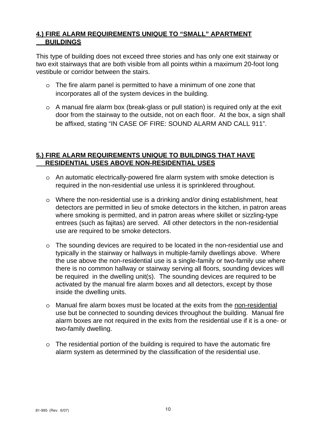#### **4.) FIRE ALARM REQUIREMENTS UNIQUE TO "SMALL" APARTMENT BUILDINGS**

This type of building does not exceed three stories and has only one exit stairway or two exit stairways that are both visible from all points within a maximum 20-foot long vestibule or corridor between the stairs.

- o The fire alarm panel is permitted to have a minimum of one zone that incorporates all of the system devices in the building.
- o A manual fire alarm box (break-glass or pull station) is required only at the exit door from the stairway to the outside, not on each floor. At the box, a sign shall be affixed, stating "IN CASE OF FIRE: SOUND ALARM AND CALL 911".

#### **5.) FIRE ALARM REQUIREMENTS UNIQUE TO BUILDINGS THAT HAVE RESIDENTIAL USES ABOVE NON-RESIDENTIAL USES**

- o An automatic electrically-powered fire alarm system with smoke detection is required in the non-residential use unless it is sprinklered throughout.
- o Where the non-residential use is a drinking and/or dining establishment, heat detectors are permitted in lieu of smoke detectors in the kitchen, in patron areas where smoking is permitted, and in patron areas where skillet or sizzling-type entrees (such as fajitas) are served. All other detectors in the non-residential use are required to be smoke detectors.
- o The sounding devices are required to be located in the non-residential use and typically in the stairway or hallways in multiple-family dwellings above. Where the use above the non-residential use is a single-family or two-family use where there is no common hallway or stairway serving all floors, sounding devices will be required in the dwelling unit(s). The sounding devices are required to be activated by the manual fire alarm boxes and all detectors, except by those inside the dwelling units.
- o Manual fire alarm boxes must be located at the exits from the non-residential use but be connected to sounding devices throughout the building. Manual fire alarm boxes are not required in the exits from the residential use if it is a one- or two-family dwelling.
- $\circ$  The residential portion of the building is required to have the automatic fire alarm system as determined by the classification of the residential use.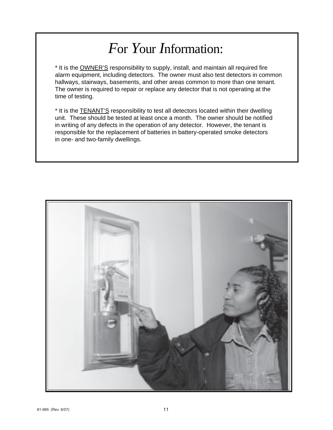# *F*or *Y*our *I*nformation:

\* It is the OWNER'S responsibility to supply, install, and maintain all required fire alarm equipment, including detectors. The owner must also test detectors in common hallways, stairways, basements, and other areas common to more than one tenant. The owner is required to repair or replace any detector that is not operating at the time of testing.

\* It is the TENANT'S responsibility to test all detectors located within their dwelling unit. These should be tested at least once a month. The owner should be notified in writing of any defects in the operation of any detector. However, the tenant is responsible for the replacement of batteries in battery-operated smoke detectors in one- and two-family dwellings.

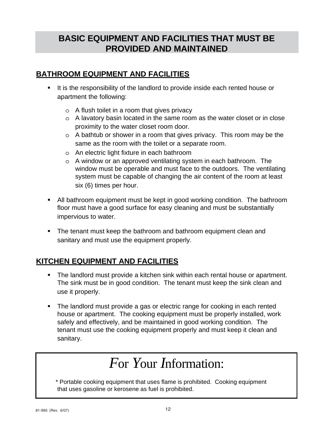### **BASIC EQUIPMENT AND FACILITIES THAT MUST BE PROVIDED AND MAINTAINED**

#### **BATHROOM EQUIPMENT AND FACILITIES**

- It is the responsibility of the landlord to provide inside each rented house or apartment the following:
	- o A flush toilet in a room that gives privacy
	- o A lavatory basin located in the same room as the water closet or in close proximity to the water closet room door.
	- o A bathtub or shower in a room that gives privacy. This room may be the same as the room with the toilet or a separate room.
	- o An electric light fixture in each bathroom
	- o A window or an approved ventilating system in each bathroom. The window must be operable and must face to the outdoors. The ventilating system must be capable of changing the air content of the room at least six (6) times per hour.
- All bathroom equipment must be kept in good working condition. The bathroom floor must have a good surface for easy cleaning and must be substantially impervious to water.
- The tenant must keep the bathroom and bathroom equipment clean and sanitary and must use the equipment properly.

#### **KITCHEN EQUIPMENT AND FACILITIES**

- The landlord must provide a kitchen sink within each rental house or apartment. The sink must be in good condition. The tenant must keep the sink clean and use it properly.
- The landlord must provide a gas or electric range for cooking in each rented house or apartment. The cooking equipment must be properly installed, work safely and effectively, and be maintained in good working condition. The tenant must use the cooking equipment properly and must keep it clean and sanitary.

# *F*or *Y*our *I*nformation:

\* Portable cooking equipment that uses flame is prohibited. Cooking equipment that uses gasoline or kerosene as fuel is prohibited.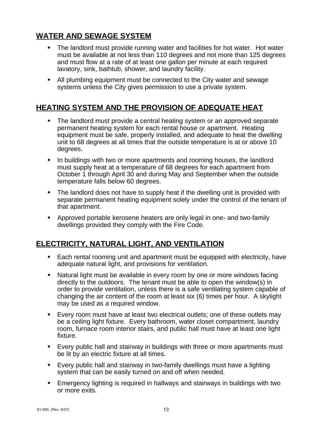#### **WATER AND SEWAGE SYSTEM**

- The landlord must provide running water and facilities for hot water. Hot water must be available at not less than 110 degrees and not more than 125 degrees and must flow at a rate of at least one gallon per minute at each required lavatory, sink, bathtub, shower, and laundry facility.
- All plumbing equipment must be connected to the City water and sewage systems unless the City gives permission to use a private system.

#### **HEATING SYSTEM AND THE PROVISION OF ADEQUATE HEAT**

- The landlord must provide a central heating system or an approved separate permanent heating system for each rental house or apartment. Heating equipment must be safe, properly installed, and adequate to heat the dwelling unit to 68 degrees at all times that the outside temperature is at or above 10 degrees.
- In buildings with two or more apartments and rooming houses, the landlord must supply heat at a temperature of 68 degrees for each apartment from October 1 through April 30 and during May and September when the outside temperature falls below 60 degrees.
- The landlord does not have to supply heat if the dwelling unit is provided with separate permanent heating equipment solely under the control of the tenant of that apartment.
- Approved portable kerosene heaters are only legal in one- and two-family dwellings provided they comply with the Fire Code.

#### **ELECTRICITY, NATURAL LIGHT, AND VENTILATION**

- **Each rental rooming unit and apartment must be equipped with electricity, have** adequate natural light, and provisions for ventilation.
- Natural light must be available in every room by one or more windows facing directly to the outdoors. The tenant must be able to open the window(s) in order to provide ventilation, unless there is a safe ventilating system capable of changing the air content of the room at least six (6) times per hour. A skylight may be used as a required window.
- Every room must have at least two electrical outlets; one of these outlets may be a ceiling light fixture. Every bathroom, water closet compartment, laundry room, furnace room interior stairs, and public hall must have at least one light fixture.
- Every public hall and stairway in buildings with three or more apartments must be lit by an electric fixture at all times.
- Every public hall and stairway in two-family dwellings must have a lighting system that can be easily turned on and off when needed.
- Emergency lighting is required in hallways and stairways in buildings with two or more exits.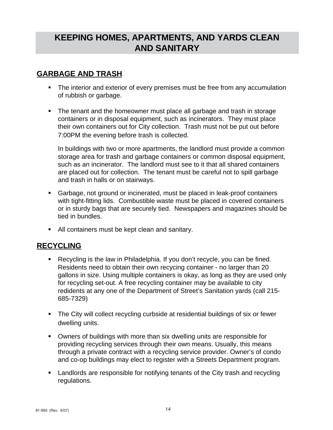### **KEEPING HOMES, APARTMENTS, AND YARDS CLEAN AND SANITARY**

#### **GARBAGE AND TRASH**

- The interior and exterior of every premises must be free from any accumulation of rubbish or garbage.
- The tenant and the homeowner must place all garbage and trash in storage containers or in disposal equipment, such as incinerators. They must place their own containers out for City collection. Trash must not be put out before 7:00PM the evening before trash is collected.

In buildings with two or more apartments, the landlord must provide a common storage area for trash and garbage containers or common disposal equipment, such as an incinerator. The landlord must see to it that all shared containers are placed out for collection. The tenant must be careful not to spill garbage and trash in halls or on stairways.

- Garbage, not ground or incinerated, must be placed in leak-proof containers with tight-fitting lids. Combustible waste must be placed in covered containers or in sturdy bags that are securely tied. Newspapers and magazines should be tied in bundles.
- All containers must be kept clean and sanitary.

#### **RECYCLING**

- Recycling is the law in Philadelphia. If you don't recycle, you can be fined. Residents need to obtain their own recycing container - no larger than 20 gallons in size. Using multiple containers is okay, as long as they are used only for recycling set-out. A free recycling container may be available to city redidents at any one of the Department of Street's Sanitation yards (call 215- 685-7329)
- The City will collect recycling curbside at residential buildings of six or fewer dwelling units.
- Owners of buildings with more than six dwelling units are responsible for providing recycling services through their own means. Usually, this means through a private contract with a recycling service provider. Owner's of condo and co-op buildings may elect to register with a Streets Department program.
- **EXED** Landlords are responsible for notifying tenants of the City trash and recycling regulations.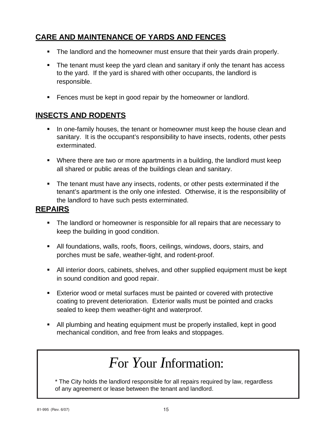### **CARE AND MAINTENANCE OF YARDS AND FENCES**

- The landlord and the homeowner must ensure that their yards drain properly.
- The tenant must keep the yard clean and sanitary if only the tenant has access to the yard. If the yard is shared with other occupants, the landlord is responsible.
- **Fences must be kept in good repair by the homeowner or landlord.**

#### **INSECTS AND RODENTS**

- In one-family houses, the tenant or homeowner must keep the house clean and sanitary. It is the occupant's responsibility to have insects, rodents, other pests exterminated.
- Where there are two or more apartments in a building, the landlord must keep all shared or public areas of the buildings clean and sanitary.
- The tenant must have any insects, rodents, or other pests exterminated if the tenant's apartment is the only one infested. Otherwise, it is the responsibility of the landlord to have such pests exterminated.

#### **REPAIRS**

- The landlord or homeowner is responsible for all repairs that are necessary to keep the building in good condition.
- All foundations, walls, roofs, floors, ceilings, windows, doors, stairs, and porches must be safe, weather-tight, and rodent-proof.
- All interior doors, cabinets, shelves, and other supplied equipment must be kept in sound condition and good repair.
- **Exterior wood or metal surfaces must be painted or covered with protective** coating to prevent deterioration. Exterior walls must be pointed and cracks sealed to keep them weather-tight and waterproof.
- All plumbing and heating equipment must be properly installed, kept in good mechanical condition, and free from leaks and stoppages.

# *F*or *Y*our *I*nformation:

\* The City holds the landlord responsible for all repairs required by law, regardless of any agreement or lease between the tenant and landlord.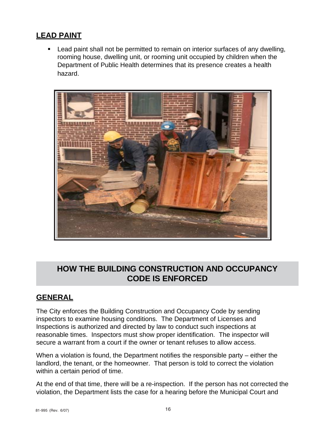#### **LEAD PAINT**

**EXECT** Lead paint shall not be permitted to remain on interior surfaces of any dwelling, rooming house, dwelling unit, or rooming unit occupied by children when the Department of Public Health determines that its presence creates a health hazard.



### **HOW THE BUILDING CONSTRUCTION AND OCCUPANCY CODE IS ENFORCED**

#### **GENERAL**

The City enforces the Building Construction and Occupancy Code by sending inspectors to examine housing conditions. The Department of Licenses and Inspections is authorized and directed by law to conduct such inspections at reasonable times. Inspectors must show proper identification. The inspector will secure a warrant from a court if the owner or tenant refuses to allow access.

When a violation is found, the Department notifies the responsible party – either the landlord, the tenant, or the homeowner. That person is told to correct the violation within a certain period of time.

At the end of that time, there will be a re-inspection. If the person has not corrected the violation, the Department lists the case for a hearing before the Municipal Court and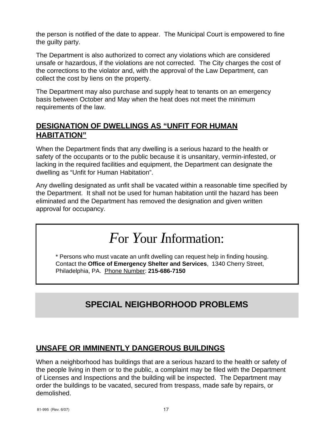the person is notified of the date to appear. The Municipal Court is empowered to fine the guilty party.

The Department is also authorized to correct any violations which are considered unsafe or hazardous, if the violations are not corrected. The City charges the cost of the corrections to the violator and, with the approval of the Law Department, can collect the cost by liens on the property.

The Department may also purchase and supply heat to tenants on an emergency basis between October and May when the heat does not meet the minimum requirements of the law.

#### **DESIGNATION OF DWELLINGS AS "UNFIT FOR HUMAN HABITATION"**

When the Department finds that any dwelling is a serious hazard to the health or safety of the occupants or to the public because it is unsanitary, vermin-infested, or lacking in the required facilities and equipment, the Department can designate the dwelling as "Unfit for Human Habitation".

Any dwelling designated as unfit shall be vacated within a reasonable time specified by the Department. It shall not be used for human habitation until the hazard has been eliminated and the Department has removed the designation and given written approval for occupancy.

# *F*or *Y*our *I*nformation:

\* Persons who must vacate an unfit dwelling can request help in finding housing. Contact the **Office of Emergency Shelter and Services**, 1340 Cherry Street, Philadelphia, PA. Phone Number: **215-686-7150**

### **SPECIAL NEIGHBORHOOD PROBLEMS**

#### **UNSAFE OR IMMINENTLY DANGEROUS BUILDINGS**

When a neighborhood has buildings that are a serious hazard to the health or safety of the people living in them or to the public, a complaint may be filed with the Department of Licenses and Inspections and the building will be inspected. The Department may order the buildings to be vacated, secured from trespass, made safe by repairs, or demolished.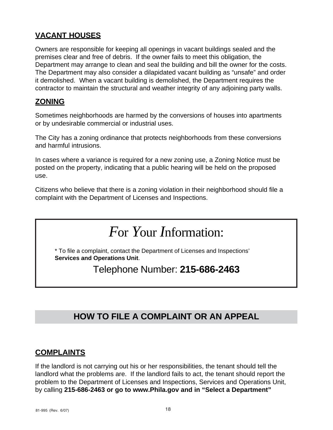#### **VACANT HOUSES**

Owners are responsible for keeping all openings in vacant buildings sealed and the premises clear and free of debris. If the owner fails to meet this obligation, the Department may arrange to clean and seal the building and bill the owner for the costs. The Department may also consider a dilapidated vacant building as "unsafe" and order it demolished. When a vacant building is demolished, the Department requires the contractor to maintain the structural and weather integrity of any adjoining party walls.

#### **ZONING**

Sometimes neighborhoods are harmed by the conversions of houses into apartments or by undesirable commercial or industrial uses.

The City has a zoning ordinance that protects neighborhoods from these conversions and harmful intrusions.

In cases where a variance is required for a new zoning use, a Zoning Notice must be posted on the property, indicating that a public hearing will be held on the proposed use.

Citizens who believe that there is a zoning violation in their neighborhood should file a complaint with the Department of Licenses and Inspections.

## *F*or *Y*our *I*nformation:

\* To file a complaint, contact the Department of Licenses and Inspections' **Services and Operations Unit**.

Telephone Number: **215-686-2463**

### **HOW TO FILE A COMPLAINT OR AN APPEAL**

#### **COMPLAINTS**

If the landlord is not carrying out his or her responsibilities, the tenant should tell the landlord what the problems are. If the landlord fails to act, the tenant should report the problem to the Department of Licenses and Inspections, Services and Operations Unit, by calling **215-686-2463 or go to www.Phila.gov and in "Select a Department"**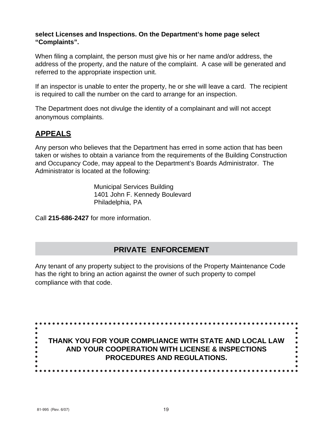#### **select Licenses and Inspections. On the Department's home page select "Complaints".**

When filing a complaint, the person must give his or her name and/or address, the address of the property, and the nature of the complaint. A case will be generated and referred to the appropriate inspection unit.

If an inspector is unable to enter the property, he or she will leave a card. The recipient is required to call the number on the card to arrange for an inspection.

The Department does not divulge the identity of a complainant and will not accept anonymous complaints.

### **APPEALS**

Any person who believes that the Department has erred in some action that has been taken or wishes to obtain a variance from the requirements of the Building Construction and Occupancy Code, may appeal to the Department's Boards Administrator. The Administrator is located at the following:

> Municipal Services Building 1401 John F. Kennedy Boulevard Philadelphia, PA

Call **215-686-2427** for more information.

#### **PRIVATE ENFORCEMENT**

Any tenant of any property subject to the provisions of the Property Maintenance Code has the right to bring an action against the owner of such property to compel compliance with that code.